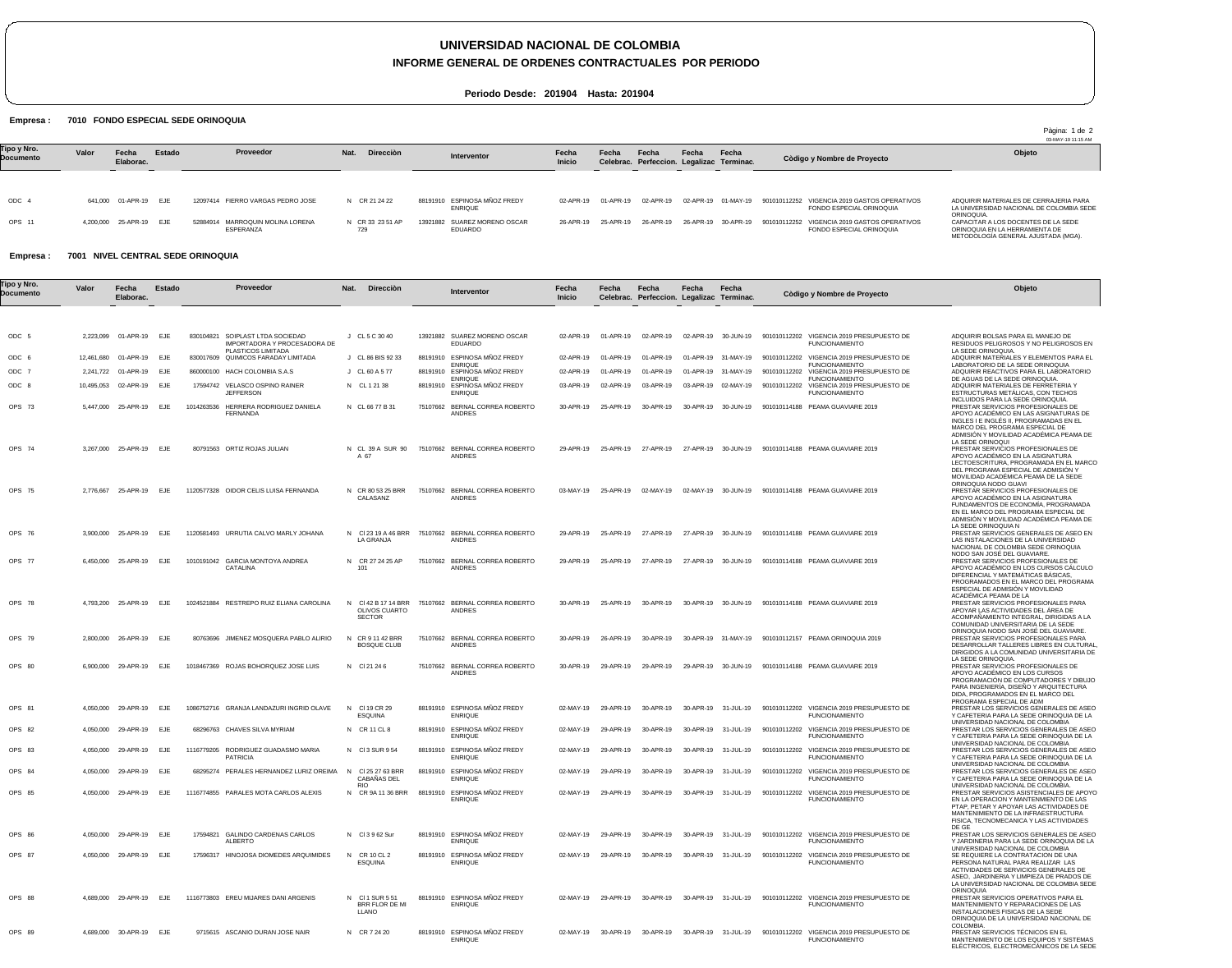# **UNIVERSIDAD NACIONAL DE COLOMBIA**

**INFORME GENERAL DE ORDENES CONTRACTUALES POR PERIODO**

Pàgina: 1 de 2

**Periodo Desde: 201904 Hasta: 201904**

#### Empresa : 7010 FONDO ESPECIAL SEDE ORINOQUIA

|                          |       |                         |        |                                               |                         |                                                |                 |           |                                                    |       |                     |                                                                                              | 03-MAY-19 11:15 AM                                                                                           |
|--------------------------|-------|-------------------------|--------|-----------------------------------------------|-------------------------|------------------------------------------------|-----------------|-----------|----------------------------------------------------|-------|---------------------|----------------------------------------------------------------------------------------------|--------------------------------------------------------------------------------------------------------------|
| Tipo y Nro.<br>Documento | Valor | Fecha<br>Elaborac.      | Estado | Proveedor                                     | Direcciòn<br>Nat.       | Interventor                                    | Fecha<br>Inicio | Fecha     | Fecha<br>Celebrac. Perfeccion. Legalizac Terminac. | Fecha | Fecha               | Còdigo y Nombre de Proyecto                                                                  | Objeto                                                                                                       |
|                          |       |                         |        |                                               |                         |                                                |                 |           |                                                    |       |                     |                                                                                              |                                                                                                              |
| ODC 4                    |       | 641.000 01-APR-19 EJE   |        | 12097414 FIERRO VARGAS PEDRO JOSE             | N CR 21 24 22           | 88191910 ESPINOSA MÑOZ FREDY<br><b>ENRIQUE</b> | 02-APR-19       | 01-APR-19 | 02-APR-19                                          |       | 02-APR-19 01-MAY-19 | 901010112252 VIGENCIA 2019 GASTOS OPERATIVOS<br>FONDO ESPECIAL ORINOQUIA                     | ADQUIRIR MATERIALES DE CERRAJERIA PARA<br>LA UNIVERSIDAD NACIONAL DE COLOMBIA SEDE<br>ORINOQUIA.             |
| OPS 11                   |       | 4.200.000 25-APR-19 EJE |        | 52884914 MARROQUIN MOLINA LORENA<br>ESPERANZA | N CR 33 23 51 AP<br>729 | 13921882 SUAREZ MORENO OSCAR<br>EDUARDO        | 26-APR-19       | 25-APR-19 | 26-APR-19                                          |       |                     | 26-APR-19 30-APR-19 901010112252 VIGENCIA 2019 GASTOS OPERATIVOS<br>FONDO ESPECIAL ORINOQUIA | CAPACITAR A LOS DOCENTES DE LA SEDE<br>ORINOQUIA EN LA HERRAMIENTA DE<br>METODOLOGÍA GENERAL AJUSTADA (MGA). |

#### Empresa : 7001 NIVEL CENTRAL SEDE ORINOQUIA

| 'ipo y Nro. | Valor     | Fecha                   | Estado     |            | Proveedor                                                 | Nat. | <b>Dirección</b>                                      |                                                              | Fecha     | Fecha               | Fecha                                     | Fecha     | Fecha               |                                                                                                                      | Objeto                                                                                                                                                                                                                                                         |
|-------------|-----------|-------------------------|------------|------------|-----------------------------------------------------------|------|-------------------------------------------------------|--------------------------------------------------------------|-----------|---------------------|-------------------------------------------|-----------|---------------------|----------------------------------------------------------------------------------------------------------------------|----------------------------------------------------------------------------------------------------------------------------------------------------------------------------------------------------------------------------------------------------------------|
| Documento   |           | Elaborac.               |            |            |                                                           |      |                                                       | Interventor                                                  | Inicio    |                     | Celebrac. Perfeccion. Legalizac Terminac. |           |                     | Còdigo y Nombre de Proyecto                                                                                          |                                                                                                                                                                                                                                                                |
|             |           |                         |            |            |                                                           |      |                                                       |                                                              |           |                     |                                           |           |                     |                                                                                                                      |                                                                                                                                                                                                                                                                |
| ODC 5       |           | 2,223,099 01-APR-19 EJE |            | 830104821  | SOIPLAST LTDA SOCIEDAD<br>IMPORTADORA Y PROCESADORA DE    |      | J CL 5 C 30 40                                        | 13921882 SUAREZ MORENO OSCAR<br><b>EDUARDO</b>               | 02-APR-19 | 01-APR-19           | 02-APR-19                                 |           | 02-APR-19 30-JUN-19 | 901010112202 VIGENCIA 2019 PRESUPUESTO DE<br><b>FUNCIONAMIENTO</b>                                                   | ADQUIRIR BOLSAS PARA EL MANEJO DE<br>RESIDUOS PELIGROSOS Y NO PELIGROSOS EN                                                                                                                                                                                    |
| ODC 6       |           | 12,461,680 01-APR-19    | EJE        |            | PLASTICOS LIMITADA<br>830017609 QUIMICOS FARADAY LIMITADA |      | J CL 86 BIS 92 33                                     | 88191910 ESPINOSA MÑOZ FREDY<br><b>ENRIQUE</b>               | 02-APR-19 | 01-APR-19           | 01-APR-19                                 |           | 01-APR-19 31-MAY-19 | 901010112202 VIGENCIA 2019 PRESUPUESTO DE<br><b>FUNCIONAMIENTO</b>                                                   | LA SEDE ORINOQUIA.<br>ADQUIRIR MATERIALES Y ELEMENTOS PARA EL<br>LABORATORIO DE LA SEDE ORINOQUIA                                                                                                                                                              |
| ODC 7       | 2,241,722 | 01-APR-19               | EJE        |            | 860000100 HACH COLOMBIA S.A.S                             |      | J CL 60 A 5 77                                        | 88191910 ESPINOSA MÑOZ FREDY<br><b>ENRIQUE</b>               | 02-APR-19 | 01-APR-19           | 01-APR-19                                 | 01-APR-19 | 31-MAY-19           | 901010112202 VIGENCIA 2019 PRESUPUESTO DE<br><b>FUNCIONAMIENTO</b>                                                   | ADQUIRIR REACTIVOS PARA EL LABORATORIO<br>DE AGUAS DE LA SEDE ORINOQUIA.                                                                                                                                                                                       |
| ODC 8       |           | 10,495,053 02-APR-19    | <b>EJE</b> |            | 17594742 VELASCO OSPINO RAINER<br><b>JEFFERSON</b>        |      | N CL 1 21 38                                          | 88191910 ESPINOSA MÑOZ FREDY<br><b>ENRIQUE</b>               | 03-APR-19 | 02-APR-19           | 03-APR-19                                 | 03-APR-19 | 02-MAY-19           | 901010112202 VIGENCIA 2019 PRESUPUESTO DE<br><b>FUNCIONAMIENTO</b>                                                   | ADQUIRIR MATERIALES DE FERRETERIA Y<br>ESTRUCTURAS METÁLICAS, CON TECHOS                                                                                                                                                                                       |
| OPS 73      | 5,447,000 | 25-APR-19               | EJE        | 1014263536 | HERRERA RODRIGUEZ DANIELA<br><b>FERNANDA</b>              |      | N CL 66 77 B 31                                       | 75107662 BERNAL CORREA ROBERTO<br>ANDRES                     | 30-APR-19 | 25-APR-19           | 30-APR-19                                 | 30-APR-19 | 30-JUN-19           | 901010114188 PEAMA GUAVIARE 2019                                                                                     | INCLUIDOS PARA LA SEDE ORINOQUIA.<br>PRESTAR SERVICIOS PROFESIONALES DE<br>APOYO ACADÉMICO EN LAS ASIGNATURAS DE<br>INGLES I E INGLÉS II, PROGRAMADAS EN EL<br>MARCO DEL PROGRAMA ESPECIAL DE                                                                  |
| OPS 74      |           | 3,267,000 25-APR-19 EJE |            |            | 80791563 ORTIZ ROJAS JULIAN                               |      | N CL 39 A SUR 90<br>A 67                              | 75107662 BERNAL CORREA ROBERTO<br><b>ANDRES</b>              | 29-APR-19 | 25-APR-19           | 27-APR-19                                 |           | 27-APR-19 30-JUN-19 | 901010114188 PEAMA GUAVIARE 2019                                                                                     | ADMISIÓN Y MOVILIDAD ACADÉMICA PEAMA DE<br>LA SEDE ORINOQUI<br>PRESTAR SERVICIOS PROFESIONALES DE<br>APOYO ACADÉMICO EN LA ASIGNATURA<br>LECTOESCRITURA, PROGRAMADA EN EL MARCO<br>DEL PROGRAMA ESPECIAL DE ADMISIÓN Y<br>MOVILIDAD ACADÉMICA PEAMA DE LA SEDE |
| OPS 75      |           | 2,776,667 25-APR-19 EJE |            |            | 1120577328 OIDOR CELIS LUISA FERNANDA                     |      | N CR 80 53 25 BRR<br>CALASANZ                         | 75107662 BERNAL CORREA ROBERTO<br>ANDRES                     | 03-MAY-19 | 25-APR-19           | 02-MAY-19                                 |           | 02-MAY-19 30-JUN-19 | 901010114188 PEAMA GUAVIARE 2019                                                                                     | ORINOQUIA NODO GUAVI<br>PRESTAR SERVICIOS PROFESIONALES DE<br>APOYO ACADÉMICO EN LA ASIGNATURA<br>FUNDAMENTOS DE ECONOMÍA, PROGRAMADA<br>EN EL MARCO DEL PROGRAMA ESPECIAL DE                                                                                  |
| OPS 76      |           | 3,900,000 25-APR-19     | EJE        |            | 1120581493 URRUTIA CALVO MARLY JOHANA                     |      | LA GRANJA                                             | N CI 23 19 A 46 BRR 75107662 BERNAL CORREA ROBERTO<br>ANDRES | 29-APR-19 | 25-APR-19           | 27-APR-19                                 |           | 27-APR-19 30-JUN-19 | 901010114188 PEAMA GUAVIARE 2019                                                                                     | ADMISIÓN Y MOVILIDAD ACADÉMICA PEAMA DE<br>LA SEDE ORINOQUIA N<br>PRESTAR SERVICIOS GENERALES DE ASEO EN<br>LAS INSTALACIONES DE LA UNIVERSIDAD<br>NACIONAL DE COLOMBIA SEDE ORINOQUIA                                                                         |
| OPS 77      |           | 6,450,000 25-APR-19     | EJE        |            | 1010191042 GARCIA MONTOYA ANDREA<br>CATALINA              | 101  | N CR 27 24 25 AP                                      | 75107662 BERNAL CORREA ROBERTO<br>ANDRES                     | 29-APR-19 | 25-APR-19           | 27-APR-19                                 |           | 27-APR-19 30-JUN-19 | 901010114188 PEAMA GUAVIARE 2019                                                                                     | NODO SAN JOSÉ DEL GUAVIARE.<br>PRESTAR SERVICIOS PROFESIONALES DE<br>APOYO ACADÉMICO EN LOS CURSOS CALCULO<br>DIFERENCIAL Y MATEMÁTICAS BÁSICAS,<br>PROGRAMADOS EN EL MARCO DEL PROGRAMA                                                                       |
| OPS 78      |           | 4,793,200 25-APR-19     | EJE        |            | 1024521884 RESTREPO RUIZ ELIANA CAROLINA                  |      | N CI 42 B 17 14 BRR<br>OLIVOS CUARTO<br><b>SECTOR</b> | 75107662 BERNAL CORREA ROBERTO<br>ANDRES                     | 30-APR-19 | 25-APR-19           | 30-APR-19                                 |           | 30-APR-19 30-JUN-19 | 901010114188 PEAMA GUAVIARE 2019                                                                                     | ESPECIAL DE ADMISIÓN Y MOVILIDAD<br>ACADÉMICA PEAMA DE LA<br>PRESTAR SERVICIOS PROFESIONALES PARA<br>APOYAR LAS ACTIVIDADES DEL AREA DE<br>ACOMPAÑAMIENTO INTEGRAL, DIRIGIDAS A LA<br>COMUNIDAD UNIVERSITARIA DE LA SEDE                                       |
| OPS 79      |           | 2,800,000 26-APR-19 EJE |            |            | 80763696 JIMENEZ MOSQUERA PABLO ALIRIO                    | N    | CR 9 11 42 BRR<br><b>BOSQUE CLUB</b>                  | 75107662 BERNAL CORREA ROBERTO<br>ANDRES                     | 30-APR-19 | 26-APR-19           | 30-APR-19                                 |           | 30-APR-19 31-MAY-19 | 901010112157 PEAMA ORINOQUIA 2019                                                                                    | ORINOQUIA NODO SAN JOSÉ DEL GUAVIARE.<br>PRESTAR SERVICIOS PROFESIONALES PARA<br>DESARROLLAR TALLERES LIBRES EN CULTURAL<br>DIRIGIDOS A LA COMUNIDAD UNIVERSITARIA DE                                                                                          |
| OPS 80      |           | 6.900.000 29-APR-19 EJE |            |            | 1018467369 ROJAS BOHORQUEZ JOSE LUIS                      |      | N CI 21 24 6                                          | 75107662 BERNAL CORREA ROBERTO<br><b>ANDRES</b>              | 30-APR-19 | 29-APR-19           | 29-APR-19                                 |           | 29-APR-19 30-JUN-19 | 901010114188 PEAMA GUAVIARE 2019                                                                                     | LA SEDE ORINOQUIA<br>PRESTAR SERVICIOS PROFESIONALES DE<br>APOYO ACADÉMICO EN LOS CURSOS<br>PROGRAMACIÓN DE COMPUTADORES Y DIBUJO<br>PARA INGENIERIA, DISENO Y ARQUITECTURA<br>DIDA, PROGRAMADOS EN EL MARCO DEL                                               |
| OPS 81      |           | 4,050,000 29-APR-19     | <b>EJE</b> |            | 1086752716 GRANJA LANDAZURI INGRID OLAVE                  |      | N CI19 CR 29<br>ESQUINA                               | 88191910 ESPINOSA MÑOZ FREDY<br><b>ENRIQUE</b>               | 02-MAY-19 | 29-APR-19           | 30-APR-19                                 |           | 30-APR-19 31-JUL-19 | 901010112202 VIGENCIA 2019 PRESUPUESTO DE<br><b>FUNCIONAMIENTO</b>                                                   | PROGRAMA ESPECIAL DE ADM<br>PRESTAR LOS SERVICIOS GENERALES DE ASEO<br>Y CAFETERIA PARA LA SEDE ORINOQUIA DE LA                                                                                                                                                |
| OPS 82      | 4,050,000 | 29-APR-19               | EJE        |            | 68296763 CHAVES SILVA MYRIAM                              |      | N CR 11 CL 8                                          | 88191910 ESPINOSA MÑOZ FREDY<br><b>ENRIQUE</b>               | 02-MAY-19 | 29-APR-19           | 30-APR-19                                 | 30-APR-19 | 31-JUL-19           | 901010112202 VIGENCIA 2019 PRESUPUESTO DE<br><b>FUNCIONAMIENTO</b>                                                   | UNIVERSIDAD NACIONAL DE COLOMBIA<br>PRESTAR LOS SERVICIOS GENERALES DE ASEO<br>Y CAFETERIA PARA LA SEDE ORINOQUIA DE LA                                                                                                                                        |
| OPS 83      |           | 4,050,000 29-APR-19     | EJE        |            | 1116779205 RODRIGUEZ GUADASMO MARIA<br><b>PATRICIA</b>    |      | N CI3 SUR 954                                         | 88191910 ESPINOSA MÑOZ FREDY<br><b>ENRIQUE</b>               | 02-MAY-19 | 29-APR-19           | 30-APR-19                                 |           | 30-APR-19 31-JUL-19 | 901010112202 VIGENCIA 2019 PRESUPUESTO DE<br><b>FUNCIONAMIENTO</b>                                                   | UNIVERSIDAD NACIONAL DE COLOMBIA<br>PRESTAR LOS SERVICIOS GENERALES DE ASEO<br>Y CAFETERIA PARA LA SEDE ORINOQUIA DE LA                                                                                                                                        |
| OPS 84      |           | 4,050,000 29-APR-19     | EJE        |            | 68295274 PERALES HERNANDEZ LURIZ OREIMA                   | N    | CI 25 27 63 BRR<br>CABAÑAS DEL                        | 88191910 ESPINOSA MÑOZ FREDY<br><b>ENRIQUE</b>               | 02-MAY-19 | 29-APR-19           | 30-APR-19                                 |           | 30-APR-19 31-JUL-19 | 901010112202 VIGENCIA 2019 PRESUPUESTO DE<br><b>FUNCIONAMIENTO</b>                                                   | UNIVERSIDAD NACIONAL DE COLOMBIA<br>PRESTAR LOS SERVICIOS GENERALES DE ASEO<br>Y CAFETERIA PARA LA SEDE ORINOQUIA DE LA                                                                                                                                        |
| OPS 85      |           | 4.050.000 29-APR-19     | <b>EJE</b> |            | 1116774855 PARALES MOTA CARLOS ALEXIS                     |      | <b>RIO</b><br>N CR 9A 11 36 BRR                       | 88191910 ESPINOSA MÑOZ FREDY<br><b>ENRIQUE</b>               | 02-MAY-19 | 29-APR-19           | 30-APR-19                                 |           | 30-APR-19 31-JUL-19 | 901010112202 VIGENCIA 2019 PRESUPUESTO DE<br><b>FUNCIONAMIENTO</b>                                                   | UNIVERSIDAD NACIONAL DE COLOMBIA.<br>PRESTAR SERVICIOS ASISTENCIALES DE APOYO<br>EN LA OPERACION Y MANTENMIENTO DE LAS<br>PTAP, PETAR Y APOYAR LAS ACTIVIDADES DE<br>MANTENIMIENTO DE LA INFRAESTRUCTURA<br>FISICA, TECNOMECANICA Y LAS ACTIVIDADES            |
| OPS 86      |           | 4,050,000 29-APR-19 EJE |            |            | 17594821 GALINDO CARDENAS CARLOS<br>ALBERTO               |      | N Cl 3 9 62 Sur                                       | 88191910 ESPINOSA MÑOZ FREDY<br><b>ENRIQUE</b>               |           |                     |                                           |           |                     | 02-MAY-19 29-APR-19 30-APR-19 30-APR-19 31-JUL-19 901010112202 VIGENCIA 2019 PRESUPUESTO DE<br><b>FUNCIONAMIENTO</b> | DE GE<br>PRESTAR LOS SERVICIOS GENERALES DE ASEO<br>Y JARDINERIA PARA LA SEDE ORINOQUIA DE LA                                                                                                                                                                  |
| OPS 87      |           | 4,050,000 29-APR-19     | EJE        |            | 17596317 HINOJOSA DIOMEDES ARQUIMIDES                     |      | N CR 10 CL 2<br>ESQUINA                               | 88191910 ESPINOSA MÑOZ FREDY<br><b>ENRIQUE</b>               | 02-MAY-19 | 29-APR-19           | 30-APR-19                                 |           |                     | 30-APR-19 31-JUL-19 901010112202 VIGENCIA 2019 PRESUPUESTO DE<br><b>FUNCIONAMIENTO</b>                               | UNIVERSIDAD NACIONAL DE COLOMBIA<br>SE REQUIERE LA CONTRATACION DE UNA<br>PERSONA NATURAL PARA REALIZAR LAS<br>ACTIVIDADES DE SERVICIOS GENERALES DE<br>ASEO, JARDINERIA Y LIMPIEZA DE PRADOS DE<br>LA UNIVERSIDAD NACIONAL DE COLOMBIA SEDE                   |
| OPS 88      |           | 4,689,000 29-APR-19 EJE |            |            | 1116773803 EREU MIJARES DANI ARGENIS                      |      | N CI1 SUR 551<br>BRR FLOR DE MI<br>LLANO              | 88191910 ESPINOSA MÑOZ FREDY<br><b>ENRIQUE</b>               |           | 02-MAY-19 29-APR-19 | 30-APR-19                                 |           | 30-APR-19 31-JUL-19 | 901010112202 VIGENCIA 2019 PRESUPUESTO DE<br><b>FUNCIONAMIENTO</b>                                                   | ORINOQUIA<br>PRESTAR SERVICIOS OPERATIVOS PARA EL<br>MANTENIMIENTO Y REPARACIONES DE LAS<br>INSTALACIONES FISICAS DE LA SEDE<br>ORINOQUIA DE LA UNIVERSIDAD NACIONAL DE<br>COLOMBIA.                                                                           |
| OPS 89      |           | 4,689,000 30-APR-19 EJE |            |            | 9715615 ASCANIO DURAN JOSE NAIR                           |      | N CR 7 24 20                                          | 88191910 ESPINOSA MÑOZ FREDY<br><b>ENRIQUE</b>               |           | 02-MAY-19 30-APR-19 | 30-APR-19                                 |           | 30-APR-19 31-JUL-19 | 901010112202 VIGENCIA 2019 PRESUPUESTO DE<br><b>FUNCIONAMIENTO</b>                                                   | PRESTAR SERVICIOS TÉCNICOS EN EL<br>MANTENIMIENTO DE LOS EQUIPOS Y SISTEMAS<br>ELÉCTRICOS, ELECTROMECÁNICOS DE LA SEDE                                                                                                                                         |